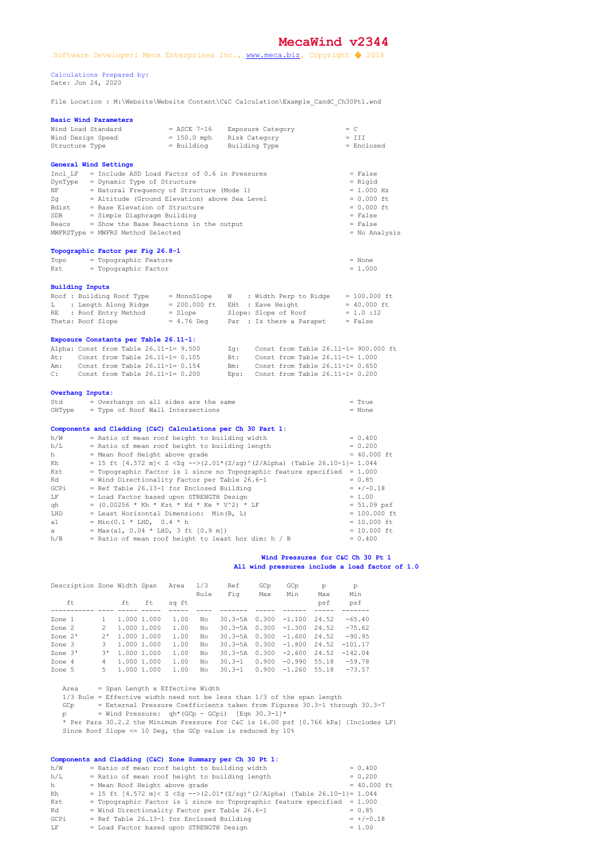## **MecaWind v2344**

 Calculations Prepared by: Date: Jun 24, 2020

File Location : M:\Website\Website Content\C&C Calculation\Example\_CandC\_Ch30Pt1.wnd

| <b>Basic Wind Parameters</b>                                        |                                                                                                 |                                                                                   |                                                                                                 |  |  |  |  |
|---------------------------------------------------------------------|-------------------------------------------------------------------------------------------------|-----------------------------------------------------------------------------------|-------------------------------------------------------------------------------------------------|--|--|--|--|
| Wind Load Standard                                                  | $=$ ASCE 7-16                                                                                   | Exposure Category                                                                 | $= C$                                                                                           |  |  |  |  |
| Wind Design Speed                                                   | $= 150.0$ mph                                                                                   | Risk Category                                                                     | $= III$                                                                                         |  |  |  |  |
| Structure Type                                                      | $=$ Building                                                                                    | Building Type                                                                     | = Enclosed                                                                                      |  |  |  |  |
| General Wind Settings                                               |                                                                                                 |                                                                                   |                                                                                                 |  |  |  |  |
| Incl $LF$ = Include ASD Load Factor of 0.6 in Pressures             | = False                                                                                         |                                                                                   |                                                                                                 |  |  |  |  |
| DynType = Dynamic Type of Structure                                 | $=$ Rigid<br>$= 1.000 Hz$                                                                       |                                                                                   |                                                                                                 |  |  |  |  |
| NF                                                                  | = Natural Frequency of Structure (Mode 1)                                                       |                                                                                   |                                                                                                 |  |  |  |  |
| Zq                                                                  | = Altitude (Ground Elevation) above Sea Level                                                   |                                                                                   | $= 0.000$ ft                                                                                    |  |  |  |  |
| Bdist                                                               | = Base Elevation of Structure                                                                   |                                                                                   | $= 0.000$ ft                                                                                    |  |  |  |  |
| SDB<br>= Simple Diaphragm Building                                  |                                                                                                 |                                                                                   | $= False$                                                                                       |  |  |  |  |
| Reacs<br>MWFRSType = MWFRS Method Selected                          | = Show the Base Reactions in the output                                                         |                                                                                   | $= False$                                                                                       |  |  |  |  |
|                                                                     |                                                                                                 |                                                                                   | $=$ No Analysis                                                                                 |  |  |  |  |
| Topographic Factor per Fig 26.8-1                                   |                                                                                                 |                                                                                   |                                                                                                 |  |  |  |  |
| Topo = Topographic Feature                                          |                                                                                                 |                                                                                   | $=$ None                                                                                        |  |  |  |  |
| = Topographic Factor<br>Kzt                                         |                                                                                                 |                                                                                   | $= 1.000$                                                                                       |  |  |  |  |
| <b>Building Inputs</b>                                              |                                                                                                 |                                                                                   |                                                                                                 |  |  |  |  |
| Roof : Building Roof Type                                           | = MonoSlope                                                                                     | $W$ : Width Perp to Ridge = 100.000 ft                                            |                                                                                                 |  |  |  |  |
| L : Length Along Ridge                                              | $= 200.000$ ft                                                                                  | EHt : Eave Height                                                                 | $= 40.000$ ft                                                                                   |  |  |  |  |
| : Roof Entry Method<br>RE                                           | $=$ Slope                                                                                       | Slope: Slope of Roof                                                              | $= 1.0 : 12$                                                                                    |  |  |  |  |
|                                                                     |                                                                                                 |                                                                                   |                                                                                                 |  |  |  |  |
| Theta: Roof Slope                                                   | $= 4.76$ Deg                                                                                    | Par : Is there a Parapet                                                          | $= False$                                                                                       |  |  |  |  |
| Exposure Constants per Table 26.11-1:                               |                                                                                                 |                                                                                   |                                                                                                 |  |  |  |  |
| Alpha: Const from Table 26.11-1= 9.500                              |                                                                                                 | Zq: Const from Table 26.11-1= 900.000 ft                                          |                                                                                                 |  |  |  |  |
| At: Const from Table 26.11-1= 0.105                                 |                                                                                                 | Bt: Const from Table 26.11-1= 1.000                                               |                                                                                                 |  |  |  |  |
| Const from Table 26.11-1= 0.154<br>Am:                              |                                                                                                 | Bm: Const from Table 26.11-1= 0.650                                               |                                                                                                 |  |  |  |  |
| Const from Table 26.11-1= 0.200<br>C:                               |                                                                                                 | Eps: Const from Table $26.11-1=0.200$                                             |                                                                                                 |  |  |  |  |
| <b>Overhang Inputs:</b>                                             |                                                                                                 |                                                                                   |                                                                                                 |  |  |  |  |
| Std                                                                 | = Overhangs on all sides are the same                                                           |                                                                                   | $= True$                                                                                        |  |  |  |  |
| OHType                                                              | = Type of Roof Wall Intersections                                                               |                                                                                   | $=$ None                                                                                        |  |  |  |  |
|                                                                     |                                                                                                 |                                                                                   |                                                                                                 |  |  |  |  |
| Components and Cladding (C&C) Calculations per Ch 30 Part 1:<br>h/W |                                                                                                 |                                                                                   | $= 0.400$                                                                                       |  |  |  |  |
| h/L                                                                 | = Ratio of mean roof height to building width<br>= Ratio of mean roof height to building length |                                                                                   | $= 0.200$                                                                                       |  |  |  |  |
| h -                                                                 | = Mean Roof Height above grade                                                                  |                                                                                   |                                                                                                 |  |  |  |  |
| Kh                                                                  |                                                                                                 | = 15 ft [4.572 m]< Z <zg --="">(2.01*(Z/zg)^(2/Alpha) {Table 26.10-1}= 1.044</zg> |                                                                                                 |  |  |  |  |
| Kzt                                                                 |                                                                                                 | = Topographic Factor is 1 since no Topographic feature specified = $1.000$        |                                                                                                 |  |  |  |  |
| Kd                                                                  | = Wind Directionality Factor per Table 26.6-1                                                   |                                                                                   | $= 0.85$                                                                                        |  |  |  |  |
| GCPi                                                                | = Ref Table 26.13-1 for Enclosed Building                                                       |                                                                                   | $= +/-0.18$                                                                                     |  |  |  |  |
| T.F                                                                 | = Load Factor based upon STRENGTH Design                                                        |                                                                                   | $= 1.00$                                                                                        |  |  |  |  |
| qh                                                                  | = $(0.00256 * Kh * Kzt * Kd * Ke * V^2) * LF$                                                   |                                                                                   |                                                                                                 |  |  |  |  |
| LHD                                                                 | = Least Horizontal Dimension: Min(B, L)                                                         |                                                                                   |                                                                                                 |  |  |  |  |
| = Min(0.1 * LHD, 0.4 * h<br>a1                                      |                                                                                                 |                                                                                   |                                                                                                 |  |  |  |  |
| a i<br>h/B                                                          | $= Max (a1, 0.04 * LHD, 3 ft [0.9 m])$<br>= Ratio of mean roof height to least hor dim: h / B   |                                                                                   | $= 40.000$ ft<br>$= 51.09$ psf<br>$= 100.000$ ft<br>$= 10.000$ ft<br>$= 10.000$ ft<br>$= 0.400$ |  |  |  |  |

## **Wind Pressures for C&C Ch 30 Pt 1 All wind pressures include a load factor of 1.0**

| Description Zone Width Span |       |    |             | Area  | 1/3  | Ref         | GCp   | GCp      | p     | p         |
|-----------------------------|-------|----|-------------|-------|------|-------------|-------|----------|-------|-----------|
|                             |       |    |             |       | Rule | Fiq         | Max   | Min      | Max   | Min       |
| ft                          |       | ft | ft          | sq ft |      |             |       |          | psf   | psf       |
|                             |       |    |             |       |      |             |       |          |       |           |
| Zone 1                      |       |    | 1,000 1,000 | 1.00  | No   | $30.3 - 5A$ | 0.300 | $-1.100$ | 24.52 | $-65.40$  |
| Zone 2                      |       |    | 1,000 1,000 | 1.00  | No   | $30.3 - 5A$ | 0.300 | $-1.300$ | 24.52 | $-75.62$  |
| Zone 2'                     | $2^1$ |    | 1.000 1.000 | 1.00  | No   | $30.3 - 5A$ | 0.300 | $-1.600$ | 24.52 | $-90.95$  |
| Zone 3                      |       |    | 1.000 1.000 | 1.00  | No   | $30.3 - 5A$ | 0.300 | $-1.800$ | 24.52 | $-101.17$ |
| Zone 3'                     | २।    |    | 1.000 1.000 | 1.00  | NΩ   | $30.3 - 5A$ | 0.300 | $-2.600$ | 24.52 | $-142.04$ |
| Zone 4                      | 4     |    | 1.000 1.000 | 1.00  | No   | $30.3 - 1$  | 0.900 | $-0.990$ | 55.18 | $-59.78$  |
| Zone 5                      | 5.    |    | 1.000 1.000 | 1.00  | No   | $30.3 - 1$  | 0.900 | $-1.260$ | 55.18 | $-73.57$  |

Area = Span Length x Effective Width

1/3 Rule = Effective width need not be less than 1/3 of the span length

GCp = External Pressure Coefficients taken from Figures 30.31 through 30.37

 $p =$  Wind Pressure:  $qh*(GCp - GCpi)$  [Eqn 30.3-1]\*

 \* Per Para 30.2.2 the Minimum Pressure for C&C is 16.00 psf [0.766 kPa] {Includes LF} Since Roof Slope <= 10 Deg, the GCp value is reduced by 10%

|      | Components and Cladding (C&C) Zone Summary per Ch 30 Pt 1:                                                                            |                |
|------|---------------------------------------------------------------------------------------------------------------------------------------|----------------|
| h/W  | = Ratio of mean roof height to building width                                                                                         | $= 0.400$      |
| h/L  | = Ratio of mean roof height to building length                                                                                        | $= 0.200$      |
| h    | = Mean Roof Height above grade                                                                                                        | $= 40.000$ ft. |
| Kh   | = 15 ft $[4.572 \text{ m}] <$ Z $\langle$ Zq $\text{--}$ > $(2.01*(\text{Z}/\text{zq}) \land (2/\text{Alpha})$ {Table 26.10-1}= 1.044 |                |
| Kzt  | = Topographic Factor is 1 since no Topographic feature specified = $1.000$                                                            |                |
| Kd   | = Wind Directionality Factor per Table 26.6-1                                                                                         | $= 0.85$       |
| GCPi | = Ref Table 26.13-1 for Enclosed Building                                                                                             | $= +/-0.18$    |
| LF   | = Load Factor based upon STRENGTH Design                                                                                              | $= 1.00$       |